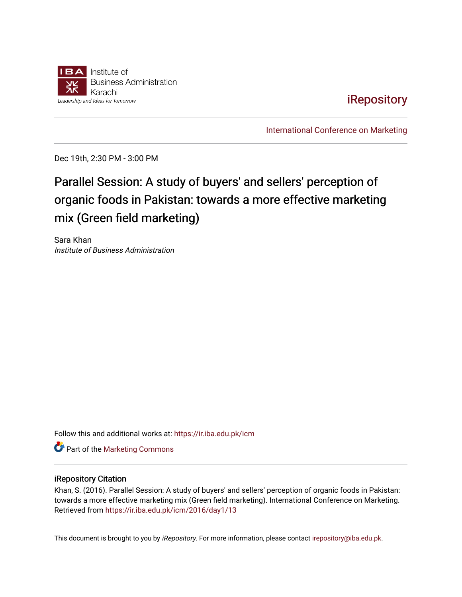

# [iRepository](https://ir.iba.edu.pk/)

[International Conference on Marketing](https://ir.iba.edu.pk/icm) 

Dec 19th, 2:30 PM - 3:00 PM

# Parallel Session: A study of buyers' and sellers' perception of organic foods in Pakistan: towards a more effective marketing mix (Green field marketing)

Sara Khan Institute of Business Administration

Follow this and additional works at: [https://ir.iba.edu.pk/icm](https://ir.iba.edu.pk/icm?utm_source=ir.iba.edu.pk%2Ficm%2F2016%2Fday1%2F13&utm_medium=PDF&utm_campaign=PDFCoverPages) 

**Part of the [Marketing Commons](http://network.bepress.com/hgg/discipline/638?utm_source=ir.iba.edu.pk%2Ficm%2F2016%2Fday1%2F13&utm_medium=PDF&utm_campaign=PDFCoverPages)** 

## iRepository Citation

Khan, S. (2016). Parallel Session: A study of buyers' and sellers' perception of organic foods in Pakistan: towards a more effective marketing mix (Green field marketing). International Conference on Marketing. Retrieved from [https://ir.iba.edu.pk/icm/2016/day1/13](https://ir.iba.edu.pk/icm/2016/day1/13?utm_source=ir.iba.edu.pk%2Ficm%2F2016%2Fday1%2F13&utm_medium=PDF&utm_campaign=PDFCoverPages) 

This document is brought to you by iRepository. For more information, please contact [irepository@iba.edu.pk](mailto:irepository@iba.edu.pk).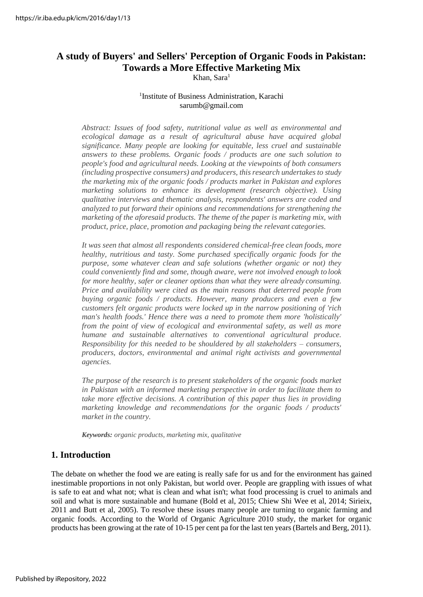# **A study of Buyers' and Sellers' Perception of Organic Foods in Pakistan: Towards a More Effective Marketing Mix**

Khan, Sara<sup>1</sup>

#### 1 Institute of Business Administration, Karachi [sarumb@gmail.com](mailto:sarumb@gmail.com)

*Abstract: Issues of food safety, nutritional value as well as environmental and ecological damage as a result of agricultural abuse have acquired global significance. Many people are looking for equitable, less cruel and sustainable answers to these problems. Organic foods / products are one such solution to people's food and agricultural needs. Looking at the viewpoints of both consumers (including prospective consumers) and producers, thisresearch undertakes to study the marketing mix of the organic foods / products market in Pakistan and explores marketing solutions to enhance its development (research objective). Using qualitative interviews and thematic analysis, respondents' answers are coded and analyzed to put forward their opinions and recommendations for strengthening the marketing of the aforesaid products. The theme of the paper is marketing mix, with product, price, place, promotion and packaging being the relevant categories.*

*It was seen that almost all respondents considered chemical-free clean foods, more healthy, nutritious and tasty. Some purchased specifically organic foods for the purpose, some whatever clean and safe solutions (whether organic or not) they could conveniently find and some, though aware, were not involved enough to look for more healthy, safer or cleaner options than what they were already consuming. Price and availability were cited as the main reasons that deterred people from buying organic foods / products. However, many producers and even a few customers felt organic products were locked up in the narrow positioning of 'rich man's health foods.' Hence there was a need to promote them more 'holistically' from the point of view of ecological and environmental safety, as well as more humane and sustainable alternatives to conventional agricultural produce. Responsibility for this needed to be shouldered by all stakeholders – consumers, producers, doctors, environmental and animal right activists and governmental agencies.*

*The purpose of the research is to present stakeholders of the organic foods market in Pakistan with an informed marketing perspective in order to facilitate them to take more effective decisions. A contribution of this paper thus lies in providing marketing knowledge and recommendations for the organic foods / products' market in the country.*

*Keywords: organic products, marketing mix, qualitative*

# **1. Introduction**

The debate on whether the food we are eating is really safe for us and for the environment has gained inestimable proportions in not only Pakistan, but world over. People are grappling with issues of what is safe to eat and what not; what is clean and what isn't; what food processing is cruel to animals and soil and what is more sustainable and humane (Bold et al, 2015; Chiew Shi Wee et al, 2014; Sirieix, 2011 and Butt et al, 2005). To resolve these issues many people are turning to organic farming and organic foods. According to the World of Organic Agriculture 2010 study, the market for organic products has been growing at the rate of 10-15 per cent pa for the last ten years(Bartels and Berg, 2011).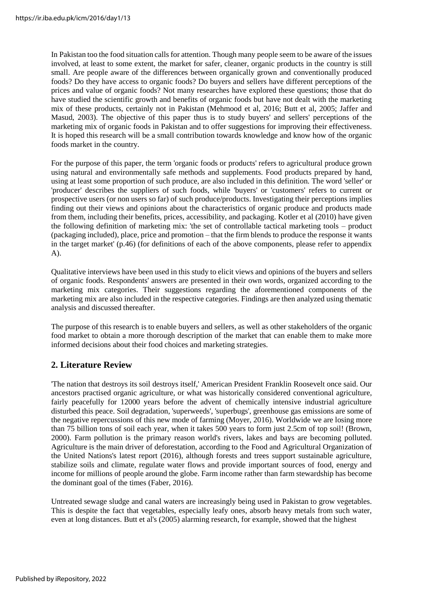In Pakistan too the food situation calls for attention. Though many people seem to be aware of the issues involved, at least to some extent, the market for safer, cleaner, organic products in the country is still small. Are people aware of the differences between organically grown and conventionally produced foods? Do they have access to organic foods? Do buyers and sellers have different perceptions of the prices and value of organic foods? Not many researches have explored these questions; those that do have studied the scientific growth and benefits of organic foods but have not dealt with the marketing mix of these products, certainly not in Pakistan (Mehmood et al, 2016; Butt et al, 2005; Jaffer and Masud, 2003). The objective of this paper thus is to study buyers' and sellers' perceptions of the marketing mix of organic foods in Pakistan and to offer suggestions for improving their effectiveness. It is hoped this research will be a small contribution towards knowledge and know how of the organic foods market in the country.

For the purpose of this paper, the term 'organic foods or products' refers to agricultural produce grown using natural and environmentally safe methods and supplements. Food products prepared by hand, using at least some proportion of such produce, are also included in this definition. The word 'seller' or 'producer' describes the suppliers of such foods, while 'buyers' or 'customers' refers to current or prospective users (or non users so far) of such produce/products. Investigating their perceptions implies finding out their views and opinions about the characteristics of organic produce and products made from them, including their benefits, prices, accessibility, and packaging. Kotler et al (2010) have given the following definition of marketing mix: 'the set of controllable tactical marketing tools – product (packaging included), place, price and promotion – that the firm blends to produce the response it wants in the target market' (p.46) (for definitions of each of the above components, please refer to appendix A).

Qualitative interviews have been used in this study to elicit views and opinions of the buyers and sellers of organic foods. Respondents' answers are presented in their own words, organized according to the marketing mix categories. Their suggestions regarding the aforementioned components of the marketing mix are also included in the respective categories. Findings are then analyzed using thematic analysis and discussed thereafter.

The purpose of this research is to enable buyers and sellers, as well as other stakeholders of the organic food market to obtain a more thorough description of the market that can enable them to make more informed decisions about their food choices and marketing strategies.

# **2. Literature Review**

'The nation that destroys its soil destroys itself,' American President Franklin Roosevelt once said. Our ancestors practised organic agriculture, or what was historically considered conventional agriculture, fairly peacefully for 12000 years before the advent of chemically intensive industrial agriculture disturbed this peace. Soil degradation, 'superweeds', 'superbugs', greenhouse gas emissions are some of the negative repercussions of this new mode of farming (Moyer, 2016). Worldwide we are losing more than 75 billion tons of soil each year, when it takes 500 years to form just 2.5cm of top soil! (Brown, 2000). Farm pollution is the primary reason world's rivers, lakes and bays are becoming polluted. Agriculture is the main driver of deforestation, according to the Food and Agricultural Organization of the United Nations's latest report (2016), although forests and trees support sustainable agriculture, stabilize soils and climate, regulate water flows and provide important sources of food, energy and income for millions of people around the globe. Farm income rather than farm stewardship has become the dominant goal of the times (Faber, 2016).

Untreated sewage sludge and canal waters are increasingly being used in Pakistan to grow vegetables. This is despite the fact that vegetables, especially leafy ones, absorb heavy metals from such water, even at long distances. Butt et al's (2005) alarming research, for example, showed that the highest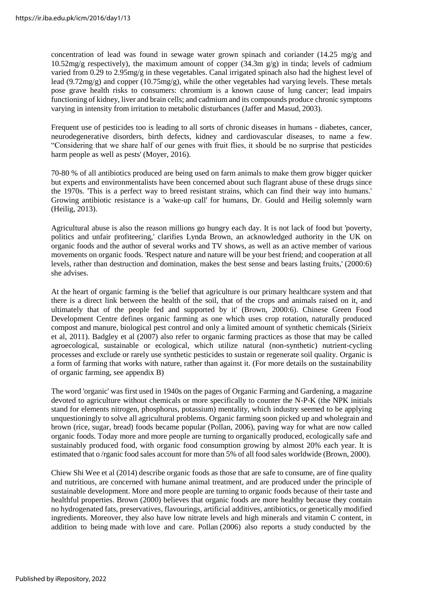concentration of lead was found in sewage water grown spinach and coriander (14.25 mg/g and  $10.52 \text{mg/g}$  respectively), the maximum amount of copper  $(34.3 \text{m g/g})$  in tinda; levels of cadmium varied from 0.29 to 2.95mg/g in these vegetables. Canal irrigated spinach also had the highest level of lead (9.72mg/g) and copper (10.75mg/g), while the other vegetables had varying levels. These metals pose grave health risks to consumers: chromium is a known cause of lung cancer; lead impairs functioning of kidney, liver and brain cells; and cadmium and its compounds produce chronic symptoms varying in intensity from irritation to metabolic disturbances (Jaffer and Masud, 2003).

Frequent use of pesticides too is leading to all sorts of chronic diseases in humans - diabetes, cancer, neurodegenerative disorders, birth defects, kidney and cardiovascular diseases, to name a few. "Considering that we share half of our genes with fruit flies, it should be no surprise that pesticides harm people as well as pests' (Moyer, 2016).

70-80 % of all antibiotics produced are being used on farm animals to make them grow bigger quicker but experts and environmentalists have been concerned about such flagrant abuse of these drugs since the 1970s. 'This is a perfect way to breed resistant strains, which can find their way into humans.' Growing antibiotic resistance is a 'wake-up call' for humans, Dr. Gould and Heilig solemnly warn (Heilig, 2013).

Agricultural abuse is also the reason millions go hungry each day. It is not lack of food but 'poverty, politics and unfair profiteering,' clarifies Lynda Brown, an acknowledged authority in the UK on organic foods and the author of several works and TV shows, as well as an active member of various movements on organic foods. 'Respect nature and nature will be your best friend; and cooperation at all levels, rather than destruction and domination, makes the best sense and bears lasting fruits,' (2000:6) she advises.

At the heart of organic farming is the 'belief that agriculture is our primary healthcare system and that there is a direct link between the health of the soil, that of the crops and animals raised on it, and ultimately that of the people fed and supported by it' (Brown, 2000:6). Chinese Green Food Development Centre defines organic farming as one which uses crop rotation, naturally produced compost and manure, biological pest control and only a limited amount of synthetic chemicals (Sirieix et al, 2011). Badgley et al (2007) also refer to organic farming practices as those that may be called agroecological, sustainable or ecological, which utilize natural (non-synthetic) nutrient-cycling processes and exclude or rarely use synthetic pesticides to sustain or regenerate soil quality. Organic is a form of farming that works with nature, rather than against it. (For more details on the sustainability of organic farming, see appendix B)

The word 'organic' was first used in 1940s on the pages of Organic Farming and Gardening, a magazine devoted to agriculture without chemicals or more specifically to counter the N-P-K (the NPK initials stand for elements nitrogen, phosphorus, potassium) mentality, which industry seemed to be applying unquestioningly to solve all agricultural problems. Organic farming soon picked up and wholegrain and brown (rice, sugar, bread) foods became popular (Pollan, 2006), paving way for what are now called organic foods. Today more and more people are turning to organically produced, ecologically safe and sustainably produced food, with organic food consumption growing by almost 20% each year. It is estimated that o /rganic food sales account for more than 5% of all food sales worldwide (Brown, 2000).

Chiew Shi Wee et al (2014) describe organic foods as those that are safe to consume, are of fine quality and nutritious, are concerned with humane animal treatment, and are produced under the principle of sustainable development. More and more people are turning to organic foods because of their taste and healthful properties. Brown (2000) believes that organic foods are more healthy because they contain no hydrogenated fats, preservatives, flavourings, artificial additives, antibiotics, or genetically modified ingredients. Moreover, they also have low nitrate levels and high minerals and vitamin C content, in addition to being made with love and care. Pollan (2006) also reports a study conducted by the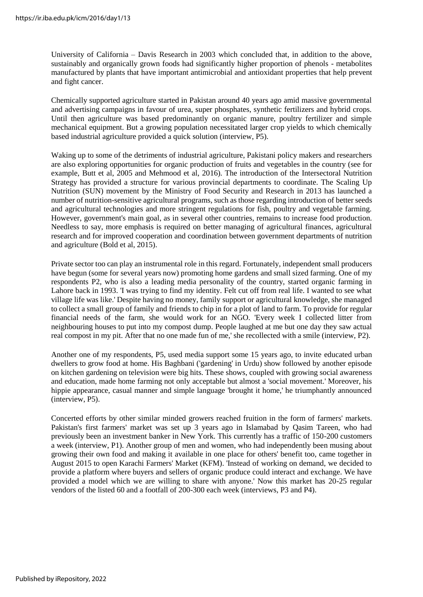University of California – Davis Research in 2003 which concluded that, in addition to the above, sustainably and organically grown foods had significantly higher proportion of phenols - metabolites manufactured by plants that have important antimicrobial and antioxidant properties that help prevent and fight cancer.

Chemically supported agriculture started in Pakistan around 40 years ago amid massive governmental and advertising campaigns in favour of urea, super phosphates, synthetic fertilizers and hybrid crops. Until then agriculture was based predominantly on organic manure, poultry fertilizer and simple mechanical equipment. But a growing population necessitated larger crop yields to which chemically based industrial agriculture provided a quick solution (interview, P5).

Waking up to some of the detriments of industrial agriculture, Pakistani policy makers and researchers are also exploring opportunities for organic production of fruits and vegetables in the country (see for example, Butt et al, 2005 and Mehmood et al, 2016). The introduction of the Intersectoral Nutrition Strategy has provided a structure for various provincial departments to coordinate. The Scaling Up Nutrition (SUN) movement by the Ministry of Food Security and Research in 2013 has launched a number of nutrition-sensitive agricultural programs, such as those regarding introduction of better seeds and agricultural technologies and more stringent regulations for fish, poultry and vegetable farming. However, government's main goal, as in several other countries, remains to increase food production. Needless to say, more emphasis is required on better managing of agricultural finances, agricultural research and for improved cooperation and coordination between government departments of nutrition and agriculture (Bold et al, 2015).

Private sector too can play an instrumental role in this regard. Fortunately, independent small producers have begun (some for several years now) promoting home gardens and small sized farming. One of my respondents P2, who is also a leading media personality of the country, started organic farming in Lahore back in 1993. 'I was trying to find my identity. Felt cut off from real life. I wanted to see what village life was like.' Despite having no money, family support or agricultural knowledge, she managed to collect a small group of family and friends to chip in for a plot of land to farm. To provide for regular financial needs of the farm, she would work for an NGO. 'Every week I collected litter from neighbouring houses to put into my compost dump. People laughed at me but one day they saw actual real compost in my pit. After that no one made fun of me,' she recollected with a smile (interview, P2).

Another one of my respondents, P5, used media support some 15 years ago, to invite educated urban dwellers to grow food at home. His Baghbani ('gardening' in Urdu) show followed by another episode on kitchen gardening on television were big hits. These shows, coupled with growing social awareness and education, made home farming not only acceptable but almost a 'social movement.' Moreover, his hippie appearance, casual manner and simple language 'brought it home,' he triumphantly announced (interview, P5).

Concerted efforts by other similar minded growers reached fruition in the form of farmers' markets. Pakistan's first farmers' market was set up 3 years ago in Islamabad by Qasim Tareen, who had previously been an investment banker in New York. This currently has a traffic of 150-200 customers a week (interview, P1). Another group of men and women, who had independently been musing about growing their own food and making it available in one place for others' benefit too, came together in August 2015 to open Karachi Farmers' Market (KFM). 'Instead of working on demand, we decided to provide a platform where buyers and sellers of organic produce could interact and exchange. We have provided a model which we are willing to share with anyone.' Now this market has 20-25 regular vendors of the listed 60 and a footfall of 200-300 each week (interviews, P3 and P4).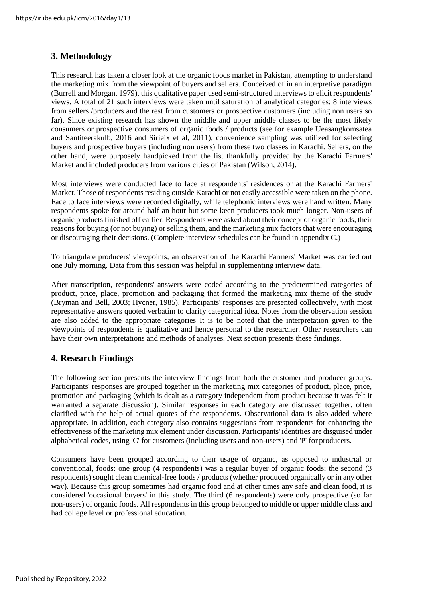# **3. Methodology**

This research has taken a closer look at the organic foods market in Pakistan, attempting to understand the marketing mix from the viewpoint of buyers and sellers. Conceived of in an interpretive paradigm (Burrell and Morgan, 1979), this qualitative paper used semi-structured interviews to elicit respondents' views. A total of 21 such interviews were taken until saturation of analytical categories: 8 interviews from sellers /producers and the rest from customers or prospective customers (including non users so far). Since existing research has shown the middle and upper middle classes to be the most likely consumers or prospective consumers of organic foods / products (see for example Ueasangkomsatea and Santiteerakulb, 2016 and Sirieix et al, 2011), convenience sampling was utilized for selecting buyers and prospective buyers (including non users) from these two classes in Karachi. Sellers, on the other hand, were purposely handpicked from the list thankfully provided by the Karachi Farmers' Market and included producers from various cities of Pakistan (Wilson, 2014).

Most interviews were conducted face to face at respondents' residences or at the Karachi Farmers' Market. Those of respondents residing outside Karachi or not easily accessible were taken on the phone. Face to face interviews were recorded digitally, while telephonic interviews were hand written. Many respondents spoke for around half an hour but some keen producers took much longer. Non-users of organic products finished off earlier. Respondents were asked about their concept of organic foods, their reasons for buying (or not buying) or selling them, and the marketing mix factors that were encouraging or discouraging their decisions. (Complete interview schedules can be found in appendix C.)

To triangulate producers' viewpoints, an observation of the Karachi Farmers' Market was carried out one July morning. Data from this session was helpful in supplementing interview data.

After transcription, respondents' answers were coded according to the predetermined categories of product, price, place, promotion and packaging that formed the marketing mix theme of the study (Bryman and Bell, 2003; Hycner, 1985). Participants' responses are presented collectively, with most representative answers quoted verbatim to clarify categorical idea. Notes from the observation session are also added to the appropriate categories It is to be noted that the interpretation given to the viewpoints of respondents is qualitative and hence personal to the researcher. Other researchers can have their own interpretations and methods of analyses. Next section presents these findings.

# **4. Research Findings**

The following section presents the interview findings from both the customer and producer groups. Participants' responses are grouped together in the marketing mix categories of product, place, price, promotion and packaging (which is dealt as a category independent from product because it was felt it warranted a separate discussion). Similar responses in each category are discussed together, often clarified with the help of actual quotes of the respondents. Observational data is also added where appropriate. In addition, each category also contains suggestions from respondents for enhancing the effectiveness of the marketing mix element under discussion. Participants' identities are disguised under alphabetical codes, using 'C' for customers (including users and non-users) and 'P' for producers.

Consumers have been grouped according to their usage of organic, as opposed to industrial or conventional, foods: one group (4 respondents) was a regular buyer of organic foods; the second (3 respondents) sought clean chemical-free foods / products (whether produced organically or in any other way). Because this group sometimes had organic food and at other times any safe and clean food, it is considered 'occasional buyers' in this study. The third (6 respondents) were only prospective (so far non-users) of organic foods. All respondents in this group belonged to middle or upper middle class and had college level or professional education.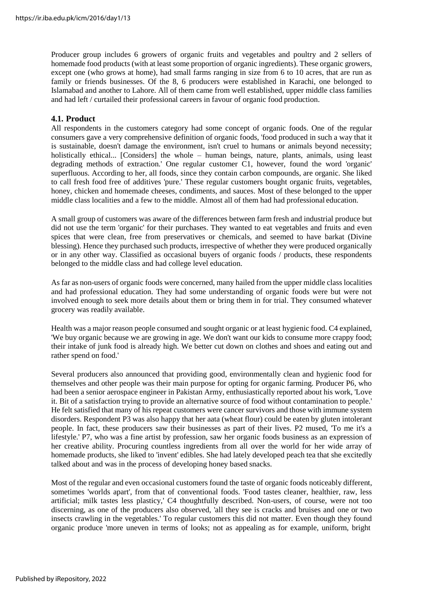Producer group includes 6 growers of organic fruits and vegetables and poultry and 2 sellers of homemade food products (with at least some proportion of organic ingredients). These organic growers, except one (who grows at home), had small farms ranging in size from 6 to 10 acres, that are run as family or friends businesses. Of the 8, 6 producers were established in Karachi, one belonged to Islamabad and another to Lahore. All of them came from well established, upper middle class families and had left / curtailed their professional careers in favour of organic food production.

#### **4.1. Product**

All respondents in the customers category had some concept of organic foods. One of the regular consumers gave a very comprehensive definition of organic foods, 'food produced in such a way that it is sustainable, doesn't damage the environment, isn't cruel to humans or animals beyond necessity; holistically ethical... [Considers] the whole – human beings, nature, plants, animals, using least degrading methods of extraction.' One regular customer C1, however, found the word 'organic' superfluous. According to her, all foods, since they contain carbon compounds, are organic. She liked to call fresh food free of additives 'pure.' These regular customers bought organic fruits, vegetables, honey, chicken and homemade cheeses, condiments, and sauces. Most of these belonged to the upper middle class localities and a few to the middle. Almost all of them had had professional education.

A small group of customers was aware of the differences between farm fresh and industrial produce but did not use the term 'organic' for their purchases. They wanted to eat vegetables and fruits and even spices that were clean, free from preservatives or chemicals, and seemed to have barkat (Divine blessing). Hence they purchased such products, irrespective of whether they were produced organically or in any other way. Classified as occasional buyers of organic foods / products, these respondents belonged to the middle class and had college level education.

As far as non-users of organic foods were concerned, many hailed from the upper middle class localities and had professional education. They had some understanding of organic foods were but were not involved enough to seek more details about them or bring them in for trial. They consumed whatever grocery was readily available.

Health was a major reason people consumed and sought organic or at least hygienic food. C4 explained, 'We buy organic because we are growing in age. We don't want our kids to consume more crappy food; their intake of junk food is already high. We better cut down on clothes and shoes and eating out and rather spend on food.'

Several producers also announced that providing good, environmentally clean and hygienic food for themselves and other people was their main purpose for opting for organic farming. Producer P6, who had been a senior aerospace engineer in Pakistan Army, enthusiastically reported about his work, 'Love it. Bit of a satisfaction trying to provide an alternative source of food without contamination to people.' He felt satisfied that many of his repeat customers were cancer survivors and those with immune system disorders. Respondent P3 was also happy that her aata (wheat flour) could be eaten by gluten intolerant people. In fact, these producers saw their businesses as part of their lives. P2 mused, 'To me it's a lifestyle.' P7, who was a fine artist by profession, saw her organic foods business as an expression of her creative ability. Procuring countless ingredients from all over the world for her wide array of homemade products, she liked to 'invent' edibles. She had lately developed peach tea that she excitedly talked about and was in the process of developing honey based snacks.

Most of the regular and even occasional customers found the taste of organic foods noticeably different, sometimes 'worlds apart', from that of conventional foods. 'Food tastes cleaner, healthier, raw, less artificial; milk tastes less plasticy,' C4 thoughtfully described. Non-users, of course, were not too discerning, as one of the producers also observed, 'all they see is cracks and bruises and one or two insects crawling in the vegetables.' To regular customers this did not matter. Even though they found organic produce 'more uneven in terms of looks; not as appealing as for example, uniform, bright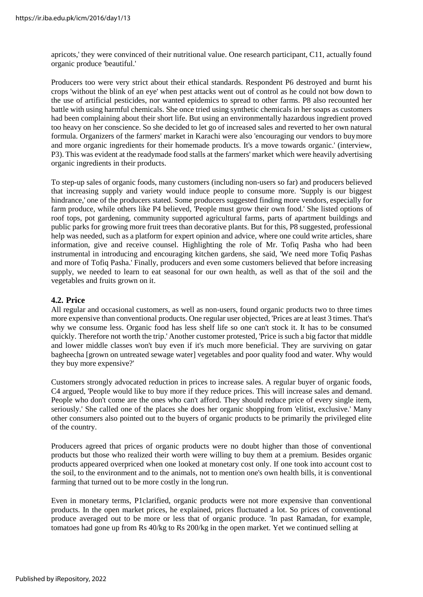apricots,' they were convinced of their nutritional value. One research participant, C11, actually found organic produce 'beautiful.'

Producers too were very strict about their ethical standards. Respondent P6 destroyed and burnt his crops 'without the blink of an eye' when pest attacks went out of control as he could not bow down to the use of artificial pesticides, nor wanted epidemics to spread to other farms. P8 also recounted her battle with using harmful chemicals. She once tried using synthetic chemicals in her soaps as customers had been complaining about their short life. But using an environmentally hazardous ingredient proved too heavy on her conscience. So she decided to let go of increased sales and reverted to her own natural formula. Organizers of the farmers' market in Karachi were also 'encouraging our vendors to buymore and more organic ingredients for their homemade products. It's a move towards organic.' (interview, P3). This was evident at the readymade food stalls at the farmers' market which were heavily advertising organic ingredients in their products.

To step-up sales of organic foods, many customers (including non-users so far) and producers believed that increasing supply and variety would induce people to consume more. 'Supply is our biggest hindrance,' one of the producers stated. Some producers suggested finding more vendors, especially for farm produce, while others like P4 believed, 'People must grow their own food.' She listed options of roof tops, pot gardening, community supported agricultural farms, parts of apartment buildings and public parks for growing more fruit trees than decorative plants. But for this, P8 suggested, professional help was needed, such as a platform for expert opinion and advice, where one could write articles, share information, give and receive counsel. Highlighting the role of Mr. Tofiq Pasha who had been instrumental in introducing and encouraging kitchen gardens, she said, 'We need more Tofiq Pashas and more of Tofiq Pasha.' Finally, producers and even some customers believed that before increasing supply, we needed to learn to eat seasonal for our own health, as well as that of the soil and the vegetables and fruits grown on it.

## **4.2. Price**

All regular and occasional customers, as well as non-users, found organic products two to three times more expensive than conventional products. One regular user objected, 'Prices are at least 3 times. That's why we consume less. Organic food has less shelf life so one can't stock it. It has to be consumed quickly. Therefore not worth the trip.' Another customer protested, 'Price is such a big factor that middle and lower middle classes won't buy even if it's much more beneficial. They are surviving on gatar bagheecha [grown on untreated sewage water] vegetables and poor quality food and water. Why would they buy more expensive?'

Customers strongly advocated reduction in prices to increase sales. A regular buyer of organic foods, C4 argued, 'People would like to buy more if they reduce prices. This will increase sales and demand. People who don't come are the ones who can't afford. They should reduce price of every single item, seriously.' She called one of the places she does her organic shopping from 'elitist, exclusive.' Many other consumers also pointed out to the buyers of organic products to be primarily the privileged elite of the country.

Producers agreed that prices of organic products were no doubt higher than those of conventional products but those who realized their worth were willing to buy them at a premium. Besides organic products appeared overpriced when one looked at monetary cost only. If one took into account cost to the soil, to the environment and to the animals, not to mention one's own health bills, it is conventional farming that turned out to be more costly in the long run.

Even in monetary terms, P1clarified, organic products were not more expensive than conventional products. In the open market prices, he explained, prices fluctuated a lot. So prices of conventional produce averaged out to be more or less that of organic produce. 'In past Ramadan, for example, tomatoes had gone up from Rs 40/kg to Rs 200/kg in the open market. Yet we continued selling at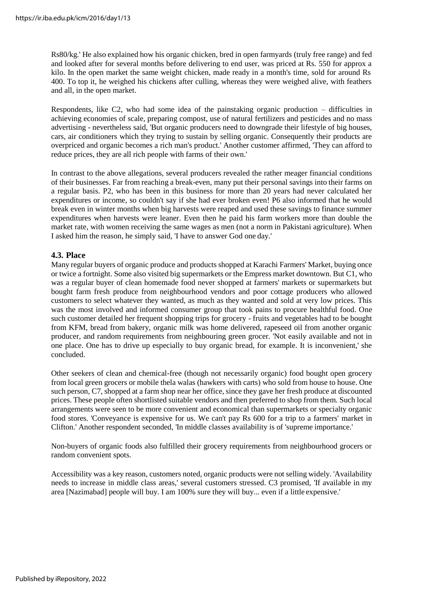Rs80/kg.' He also explained how his organic chicken, bred in open farmyards (truly free range) and fed and looked after for several months before delivering to end user, was priced at Rs. 550 for approx a kilo. In the open market the same weight chicken, made ready in a month's time, sold for around Rs 400. To top it, he weighed his chickens after culling, whereas they were weighed alive, with feathers and all, in the open market.

Respondents, like C2, who had some idea of the painstaking organic production – difficulties in achieving economies of scale, preparing compost, use of natural fertilizers and pesticides and no mass advertising - nevertheless said, 'But organic producers need to downgrade their lifestyle of big houses, cars, air conditioners which they trying to sustain by selling organic. Consequently their products are overpriced and organic becomes a rich man's product.' Another customer affirmed, 'They can afford to reduce prices, they are all rich people with farms of their own.'

In contrast to the above allegations, several producers revealed the rather meager financial conditions of their businesses. Far from reaching a break-even, many put their personal savings into their farms on a regular basis. P2, who has been in this business for more than 20 years had never calculated her expenditures or income, so couldn't say if she had ever broken even! P6 also informed that he would break even in winter months when big harvests were reaped and used these savings to finance summer expenditures when harvests were leaner. Even then he paid his farm workers more than double the market rate, with women receiving the same wages as men (not a norm in Pakistani agriculture). When I asked him the reason, he simply said, 'I have to answer God one day.'

# **4.3. Place**

Many regular buyers of organic produce and products shopped at Karachi Farmers' Market, buying once or twice a fortnight. Some also visited big supermarkets or the Empress market downtown. But C1, who was a regular buyer of clean homemade food never shopped at farmers' markets or supermarkets but bought farm fresh produce from neighbourhood vendors and poor cottage producers who allowed customers to select whatever they wanted, as much as they wanted and sold at very low prices. This was the most involved and informed consumer group that took pains to procure healthful food. One such customer detailed her frequent shopping trips for grocery - fruits and vegetables had to be bought from KFM, bread from bakery, organic milk was home delivered, rapeseed oil from another organic producer, and random requirements from neighbouring green grocer. 'Not easily available and not in one place. One has to drive up especially to buy organic bread, for example. It is inconvenient,' she concluded.

Other seekers of clean and chemical-free (though not necessarily organic) food bought open grocery from local green grocers or mobile thela walas (hawkers with carts) who sold from house to house. One such person, C7, shopped at a farm shop near her office, since they gave her fresh produce at discounted prices. These people often shortlisted suitable vendors and then preferred to shop from them. Such local arrangements were seen to be more convenient and economical than supermarkets or specialty organic food stores. 'Conveyance is expensive for us. We can't pay Rs 600 for a trip to a farmers' market in Clifton.' Another respondent seconded, 'In middle classes availability is of 'supreme importance.'

Non-buyers of organic foods also fulfilled their grocery requirements from neighbourhood grocers or random convenient spots.

Accessibility was a key reason, customers noted, organic products were not selling widely. 'Availability needs to increase in middle class areas,' several customers stressed. C3 promised, 'If available in my area [Nazimabad] people will buy. I am 100% sure they will buy... even if a little expensive.'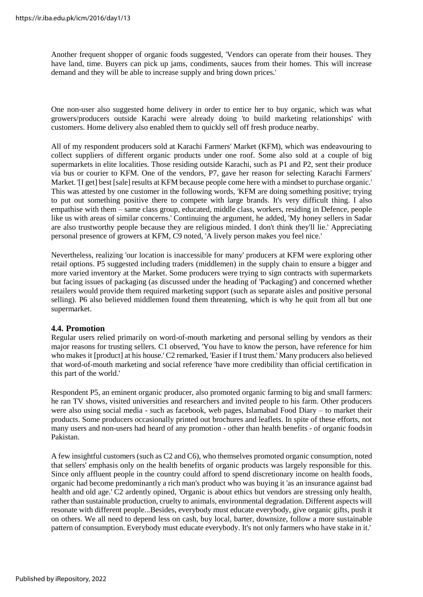Another frequent shopper of organic foods suggested, 'Vendors can operate from their houses. They have land, time. Buyers can pick up jams, condiments, sauces from their homes. This will increase demand and they will be able to increase supply and bring down prices.'

One non-user also suggested home delivery in order to entice her to buy organic, which was what growers/producers outside Karachi were already doing 'to build marketing relationships' with customers. Home delivery also enabled them to quickly sell off fresh produce nearby.

All of my respondent producers sold at Karachi Farmers' Market (KFM), which was endeavouring to collect suppliers of different organic products under one roof. Some also sold at a couple of big supermarkets in elite localities. Those residing outside Karachi, such as P1 and P2, sent their produce via bus or courier to KFM. One of the vendors, P7, gave her reason for selecting Karachi Farmers' Market. '[I get] best [sale] results at KFM because people come here with a mindset to purchase organic.' This was attested by one customer in the following words, 'KFM are doing something positive; trying to put out something positive there to compete with large brands. It's very difficult thing. I also empathise with them – same class group, educated, middle class, workers, residing in Defence, people like us with areas of similar concerns.' Continuing the argument, he added, 'My honey sellers in Sadar are also trustworthy people because they are religious minded. I don't think they'll lie.' Appreciating personal presence of growers at KFM, C9 noted, 'A lively person makes you feel nice.'

Nevertheless, realizing 'our location is inaccessible for many' producers at KFM were exploring other retail options. P5 suggested including traders (middlemen) in the supply chain to ensure a bigger and more varied inventory at the Market. Some producers were trying to sign contracts with supermarkets but facing issues of packaging (as discussed under the heading of 'Packaging') and concerned whether retailers would provide them required marketing support (such as separate aisles and positive personal selling). P6 also believed middlemen found them threatening, which is why he quit from all but one supermarket.

## **4.4. Promotion**

Regular users relied primarily on word-of-mouth marketing and personal selling by vendors as their major reasons for trusting sellers. C1 observed, 'You have to know the person, have reference for him who makes it [product] at his house.' C2 remarked, 'Easier if I trust them.' Many producers also believed that word-of-mouth marketing and social reference 'have more credibility than official certification in this part of the world.'

Respondent P5, an eminent organic producer, also promoted organic farming to big and small farmers: he ran TV shows, visited universities and researchers and invited people to his farm. Other producers were also using social media - such as facebook, web pages, Islamabad Food Diary – to market their products. Some producers occasionally printed out brochures and leaflets. In spite of these efforts, not many users and non-users had heard of any promotion - other than health benefits - of organic foodsin Pakistan.

A few insightful customers (such as C2 and C6), who themselves promoted organic consumption, noted that sellers' emphasis only on the health benefits of organic products was largely responsible for this. Since only affluent people in the country could afford to spend discretionary income on health foods, organic had become predominantly a rich man's product who was buying it 'as an insurance against bad health and old age.' C2 ardently opined, 'Organic is about ethics but vendors are stressing only health, rather than sustainable production, cruelty to animals, environmental degradation. Different aspects will resonate with different people...Besides, everybody must educate everybody, give organic gifts, push it on others. We all need to depend less on cash, buy local, barter, downsize, follow a more sustainable pattern of consumption. Everybody must educate everybody. It's not only farmers who have stake in it.'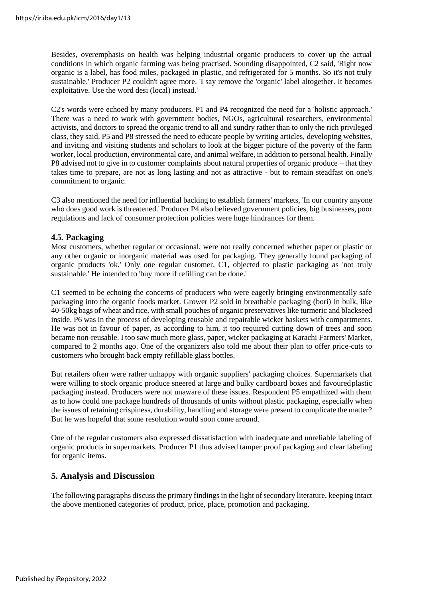Besides, overemphasis on health was helping industrial organic producers to cover up the actual conditions in which organic farming was being practised. Sounding disappointed, C2 said, 'Right now organic is a label, has food miles, packaged in plastic, and refrigerated for 5 months. So it's not truly sustainable.' Producer P2 couldn't agree more. 'I say remove the 'organic' label altogether. It becomes exploitative. Use the word desi (local) instead.'

C2's words were echoed by many producers. P1 and P4 recognized the need for a 'holistic approach.' There was a need to work with government bodies, NGOs, agricultural researchers, environmental activists, and doctors to spread the organic trend to all and sundry rather than to only the rich privileged class, they said. P5 and P8 stressed the need to educate people by writing articles, developing websites, and inviting and visiting students and scholars to look at the bigger picture of the poverty of the farm worker, local production, environmental care, and animal welfare, in addition to personal health. Finally P8 advised not to give in to customer complaints about natural properties of organic produce – that they takes time to prepare, are not as long lasting and not as attractive - but to remain steadfast on one's commitment to organic.

C3 also mentioned the need for influential backing to establish farmers' markets, 'In our country anyone who does good work is threatened.' Producer P4 also believed government policies, big businesses, poor regulations and lack of consumer protection policies were huge hindrances for them.

# **4.5. Packaging**

Most customers, whether regular or occasional, were not really concerned whether paper or plastic or any other organic or inorganic material was used for packaging. They generally found packaging of organic products 'ok.' Only one regular customer, C1, objected to plastic packaging as 'not truly sustainable.' He intended to 'buy more if refilling can be done.'

C1 seemed to be echoing the concerns of producers who were eagerly bringing environmentally safe packaging into the organic foods market. Grower P2 sold in breathable packaging (bori) in bulk, like 40-50kg bags of wheat and rice, with small pouches of organic preservatives like turmeric and blackseed inside. P6 was in the process of developing reusable and repairable wicker baskets with compartments. He was not in favour of paper, as according to him, it too required cutting down of trees and soon became non-reusable. I too saw much more glass, paper, wicker packaging at Karachi Farmers' Market, compared to 2 months ago. One of the organizers also told me about their plan to offer price-cuts to customers who brought back empty refillable glass bottles.

But retailers often were rather unhappy with organic suppliers' packaging choices. Supermarkets that were willing to stock organic produce sneered at large and bulky cardboard boxes and favouredplastic packaging instead. Producers were not unaware of these issues. Respondent P5 empathized with them as to how could one package hundreds of thousands of units without plastic packaging, especially when the issues of retaining crispiness, durability, handling and storage were present to complicate the matter? But he was hopeful that some resolution would soon come around.

One of the regular customers also expressed dissatisfaction with inadequate and unreliable labeling of organic products in supermarkets. Producer P1 thus advised tamper proof packaging and clear labeling for organic items.

# **5. Analysis and Discussion**

The following paragraphs discuss the primary findings in the light of secondary literature, keeping intact the above mentioned categories of product, price, place, promotion and packaging.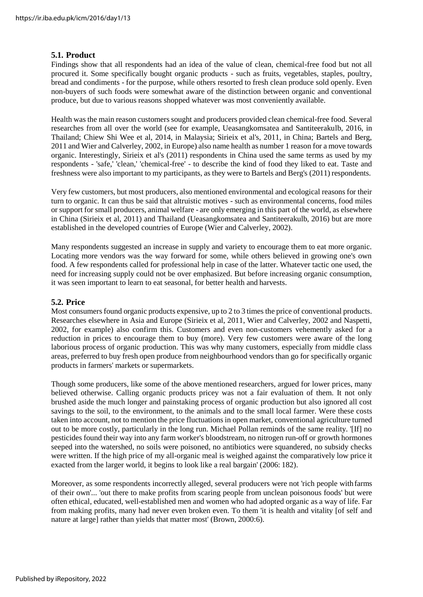#### **5.1. Product**

Findings show that all respondents had an idea of the value of clean, chemical-free food but not all procured it. Some specifically bought organic products - such as fruits, vegetables, staples, poultry, bread and condiments - for the purpose, while others resorted to fresh clean produce sold openly. Even non-buyers of such foods were somewhat aware of the distinction between organic and conventional produce, but due to various reasons shopped whatever was most conveniently available.

Health was the main reason customers sought and producers provided clean chemical-free food. Several researches from all over the world (see for example, Ueasangkomsatea and Santiteerakulb, 2016, in Thailand; Chiew Shi Wee et al, 2014, in Malaysia; Sirieix et al's, 2011, in China; Bartels and Berg, 2011 and Wier and Calverley, 2002, in Europe) also name health as number 1 reason for a move towards organic. Interestingly, Sirieix et al's (2011) respondents in China used the same terms as used by my respondents - 'safe,' 'clean,' 'chemical-free' - to describe the kind of food they liked to eat. Taste and freshness were also important to my participants, as they were to Bartels and Berg's (2011) respondents.

Very few customers, but most producers, also mentioned environmental and ecological reasons for their turn to organic. It can thus be said that altruistic motives - such as environmental concerns, food miles or support for small producers, animal welfare - are only emerging in this part of the world, as elsewhere in China (Sirieix et al, 2011) and Thailand (Ueasangkomsatea and Santiteerakulb, 2016) but are more established in the developed countries of Europe (Wier and Calverley, 2002).

Many respondents suggested an increase in supply and variety to encourage them to eat more organic. Locating more vendors was the way forward for some, while others believed in growing one's own food. A few respondents called for professional help in case of the latter. Whatever tactic one used, the need for increasing supply could not be over emphasized. But before increasing organic consumption, it was seen important to learn to eat seasonal, for better health and harvests.

#### **5.2. Price**

Most consumers found organic products expensive, up to 2 to 3 times the price of conventional products. Researches elsewhere in Asia and Europe (Sirieix et al, 2011, Wier and Calverley, 2002 and Naspetti, 2002, for example) also confirm this. Customers and even non-customers vehemently asked for a reduction in prices to encourage them to buy (more). Very few customers were aware of the long laborious process of organic production. This was why many customers, especially from middle class areas, preferred to buy fresh open produce from neighbourhood vendors than go for specifically organic products in farmers' markets or supermarkets.

Though some producers, like some of the above mentioned researchers, argued for lower prices, many believed otherwise. Calling organic products pricey was not a fair evaluation of them. It not only brushed aside the much longer and painstaking process of organic production but also ignored all cost savings to the soil, to the environment, to the animals and to the small local farmer. Were these costs taken into account, not to mention the price fluctuationsin open market, conventional agriculture turned out to be more costly, particularly in the long run. Michael Pollan reminds of the same reality. '[If] no pesticides found their way into any farm worker's bloodstream, no nitrogen run-off or growth hormones seeped into the watershed, no soils were poisoned, no antibiotics were squandered, no subsidy checks were written. If the high price of my all-organic meal is weighed against the comparatively low price it exacted from the larger world, it begins to look like a real bargain' (2006: 182).

Moreover, as some respondents incorrectly alleged, several producers were not 'rich people with farms of their own'... 'out there to make profits from scaring people from unclean poisonous foods' but were often ethical, educated, well-established men and women who had adopted organic as a way of life. Far from making profits, many had never even broken even. To them 'it is health and vitality [of self and nature at large] rather than yields that matter most' (Brown, 2000:6).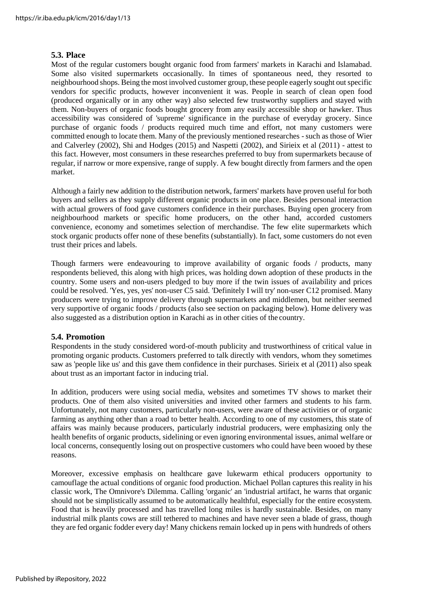#### **5.3. Place**

Most of the regular customers bought organic food from farmers' markets in Karachi and Islamabad. Some also visited supermarkets occasionally. In times of spontaneous need, they resorted to neighbourhood shops. Being the most involved customer group, these people eagerly sought out specific vendors for specific products, however inconvenient it was. People in search of clean open food (produced organically or in any other way) also selected few trustworthy suppliers and stayed with them. Non-buyers of organic foods bought grocery from any easily accessible shop or hawker. Thus accessibility was considered of 'supreme' significance in the purchase of everyday grocery. Since purchase of organic foods / products required much time and effort, not many customers were committed enough to locate them. Many of the previously mentioned researches - such as those of Wier and Calverley (2002), Shi and Hodges (2015) and Naspetti (2002), and Sirieix et al (2011) - attest to this fact. However, most consumers in these researches preferred to buy from supermarkets because of regular, if narrow or more expensive, range of supply. A few bought directly from farmers and the open market.

Although a fairly new addition to the distribution network, farmers' markets have proven useful for both buyers and sellers as they supply different organic products in one place. Besides personal interaction with actual growers of food gave customers confidence in their purchases. Buying open grocery from neighbourhood markets or specific home producers, on the other hand, accorded customers convenience, economy and sometimes selection of merchandise. The few elite supermarkets which stock organic products offer none of these benefits (substantially). In fact, some customers do not even trust their prices and labels.

Though farmers were endeavouring to improve availability of organic foods / products, many respondents believed, this along with high prices, was holding down adoption of these products in the country. Some users and non-users pledged to buy more if the twin issues of availability and prices could be resolved. 'Yes, yes, yes' non-user C5 said. 'Definitely I will try' non-user C12 promised. Many producers were trying to improve delivery through supermarkets and middlemen, but neither seemed very supportive of organic foods / products (also see section on packaging below). Home delivery was also suggested as a distribution option in Karachi as in other cities of the country.

## **5.4. Promotion**

Respondents in the study considered word-of-mouth publicity and trustworthiness of critical value in promoting organic products. Customers preferred to talk directly with vendors, whom they sometimes saw as 'people like us' and this gave them confidence in their purchases. Sirieix et al (2011) also speak about trust as an important factor in inducing trial.

In addition, producers were using social media, websites and sometimes TV shows to market their products. One of them also visited universities and invited other farmers and students to his farm. Unfortunately, not many customers, particularly non-users, were aware of these activities or of organic farming as anything other than a road to better health. According to one of my customers, this state of affairs was mainly because producers, particularly industrial producers, were emphasizing only the health benefits of organic products, sidelining or even ignoring environmental issues, animal welfare or local concerns, consequently losing out on prospective customers who could have been wooed by these reasons.

Moreover, excessive emphasis on healthcare gave lukewarm ethical producers opportunity to camouflage the actual conditions of organic food production. Michael Pollan captures this reality in his classic work, The Omnivore's Dilemma. Calling 'organic' an 'industrial artifact, he warns that organic should not be simplistically assumed to be automatically healthful, especially for the entire ecosystem. Food that is heavily processed and has travelled long miles is hardly sustainable. Besides, on many industrial milk plants cows are still tethered to machines and have never seen a blade of grass, though they are fed organic fodder every day! Many chickens remain locked up in pens with hundreds of others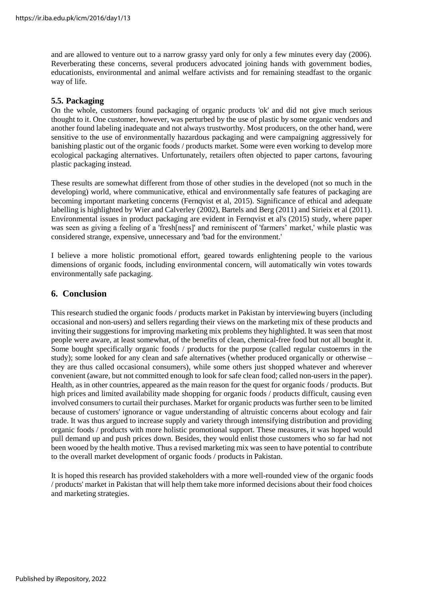and are allowed to venture out to a narrow grassy yard only for only a few minutes every day (2006). Reverberating these concerns, several producers advocated joining hands with government bodies, educationists, environmental and animal welfare activists and for remaining steadfast to the organic way of life.

# **5.5. Packaging**

On the whole, customers found packaging of organic products 'ok' and did not give much serious thought to it. One customer, however, was perturbed by the use of plastic by some organic vendors and another found labeling inadequate and not always trustworthy. Most producers, on the other hand, were sensitive to the use of environmentally hazardous packaging and were campaigning aggressively for banishing plastic out of the organic foods / products market. Some were even working to develop more ecological packaging alternatives. Unfortunately, retailers often objected to paper cartons, favouring plastic packaging instead.

These results are somewhat different from those of other studies in the developed (not so much in the developing) world, where communicative, ethical and environmentally safe features of packaging are becoming important marketing concerns (Fernqvist et al, 2015). Significance of ethical and adequate labelling is highlighted by Wier and Calverley (2002), Bartels and Berg (2011) and Sirieix et al (2011). Environmental issues in product packaging are evident in Fernqvist et al's (2015) study, where paper was seen as giving a feeling of a 'fresh[ness]' and reminiscent of 'farmers' market,' while plastic was considered strange, expensive, unnecessary and 'bad for the environment.'

I believe a more holistic promotional effort, geared towards enlightening people to the various dimensions of organic foods, including environmental concern, will automatically win votes towards environmentally safe packaging.

# **6. Conclusion**

This research studied the organic foods / products market in Pakistan by interviewing buyers (including occasional and non-users) and sellers regarding their views on the marketing mix of these products and inviting their suggestions for improving marketing mix problems they highlighted. It was seen that most people were aware, at least somewhat, of the benefits of clean, chemical-free food but not all bought it. Some bought specifically organic foods / products for the purpose (called regular custoemrs in the study); some looked for any clean and safe alternatives (whether produced organically or otherwise – they are thus called occasional consumers), while some others just shopped whatever and wherever convenient (aware, but not committed enough to look for safe clean food; called non-users in the paper). Health, as in other countries, appeared as the main reason for the quest for organic foods / products. But high prices and limited availability made shopping for organic foods / products difficult, causing even involved consumers to curtail their purchases. Market for organic products was further seen to be limited because of customers' ignorance or vague understanding of altruistic concerns about ecology and fair trade. It was thus argued to increase supply and variety through intensifying distribution and providing organic foods / products with more holistic promotional support. These measures, it was hoped would pull demand up and push prices down. Besides, they would enlist those customers who so far had not been wooed by the health motive. Thus a revised marketing mix was seen to have potential to contribute to the overall market development of organic foods / products in Pakistan.

It is hoped this research has provided stakeholders with a more well-rounded view of the organic foods / products' market in Pakistan that will help them take more informed decisions about their food choices and marketing strategies.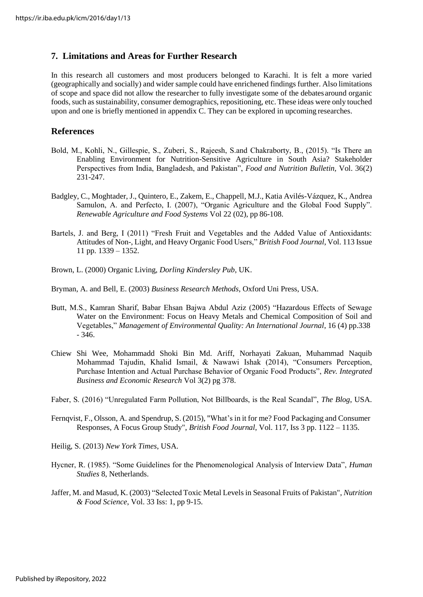# **7. Limitations and Areas for Further Research**

In this research all customers and most producers belonged to Karachi. It is felt a more varied (geographically and socially) and wider sample could have enrichened findings further. Also limitations of scope and space did not allow the researcher to fully investigate some of the debatesaround organic foods, such as sustainability, consumer demographics, repositioning, etc. These ideas were only touched upon and one is briefly mentioned in appendix C. They can be explored in upcoming researches.

# **References**

- Bold, M., Kohli, N., Gillespie, S., Zuberi, S., Rajeesh, S.and Chakraborty, B., (2015). "Is There an Enabling Environment for Nutrition-Sensitive Agriculture in South Asia? Stakeholder Perspectives from India, Bangladesh, and Pakistan", *Food and Nutrition Bulletin,* Vol. 36(2) 231-247.
- Badgley, C., Moghtader, J., Quintero, E., Zakem, E., Chappell, M.J., Katia Avilés-Vázquez, K., Andrea Samulon, A. and Perfecto, I. (2007), "Organic Agriculture and the Global Food Supply". *Renewable Agriculture and Food Systems* Vol 22 (02), pp 86-108.
- Bartels, J. and Berg, I (2011) "Fresh Fruit and Vegetables and the Added Value of Antioxidants: Attitudes of Non-, Light, and Heavy Organic Food Users," *British Food Journal*, Vol. 113 Issue 11 pp. 1339 – 1352.
- Brown, L. (2000) Organic Living, *Dorling Kindersley Pub*, UK.
- Bryman, A. and Bell, E. (2003) *Business Research Methods*, Oxford Uni Press, USA.
- Butt, M.S., Kamran Sharif, Babar Ehsan Bajwa Abdul Aziz (2005) "Hazardous Effects of Sewage Water on the Environment: Focus on Heavy Metals and Chemical Composition of Soil and Vegetables," *Management of Environmental Quality: An International Journal*, 16 (4) pp.338 - 346.
- Chiew Shi Wee, Mohammadd Shoki Bin Md. Ariff, Norhayati Zakuan, Muhammad Naquib Mohammad Tajudin, Khalid Ismail, & Nawawi Ishak (2014), "Consumers Perception, Purchase Intention and Actual Purchase Behavior of Organic Food Products", *Rev. Integrated Business and Economic Research* Vol 3(2) pg 378.
- Faber, S. (2016) "Unregulated Farm Pollution, Not Billboards, is the Real Scandal", *The Blog*, USA.
- Fernqvist, F., Olsson, A. and Spendrup, S. (2015), "What's in it for me? Food Packaging and Consumer Responses, A Focus Group Study", *British Food Journal*, Vol. 117, Iss 3 pp. 1122 – 1135.
- Heilig, S. (2013) *New York Times*, USA.
- Hycner, R. (1985). "Some Guidelines for the Phenomenological Analysis of Interview Data", *Human Studies* 8, Netherlands.
- Jaffer, M. and Masud, K. (2003) "Selected Toxic Metal Levels in Seasonal Fruits of Pakistan", *Nutrition & Food Science*, Vol. 33 Iss: 1, pp 9-15.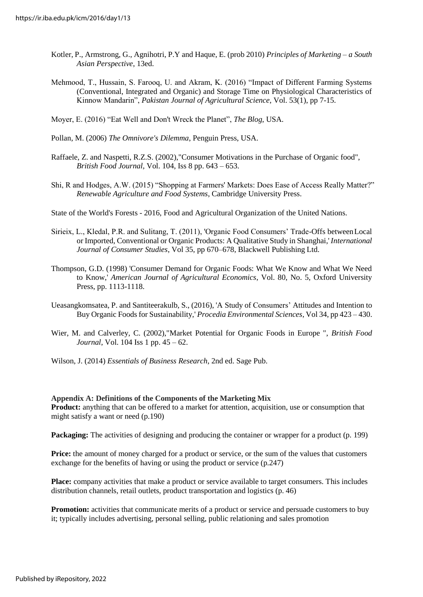- Kotler, P., Armstrong, G., Agnihotri, P.Y and Haque, E. (prob 2010) *Principles of Marketing – a South Asian Perspective*, 13ed.
- Mehmood, T., Hussain, S. Farooq, U. and Akram, K. (2016) "Impact of Different Farming Systems (Conventional, Integrated and Organic) and Storage Time on Physiological Characteristics of Kinnow Mandarin", *Pakistan Journal of Agricultural Science*, Vol. 53(1), pp 7-15.
- Moyer, E. (2016) "Eat Well and Don't Wreck the Planet", *The Blog*, USA.
- Pollan, M. (2006) *The Omnivore's Dilemma*, Penguin Press, USA.
- Raffaele, Z. and Naspetti, R.Z.S. (2002),"Consumer Motivations in the Purchase of Organic food", *British Food Journal*, Vol. 104, Iss 8 pp. 643 – 653.
- Shi, R and Hodges, A.W. (2015) "Shopping at Farmers' Markets: Does Ease of Access Really Matter?" *Renewable Agriculture and Food Systems*, Cambridge University Press.
- State of the World's Forests 2016, Food and Agricultural Organization of the United Nations.
- Sirieix, L., Kledal, P.R. and Sulitang, T. (2011), 'Organic Food Consumers' Trade-Offs betweenLocal or Imported, Conventional or Organic Products: A Qualitative Study in Shanghai,'*International Journal of Consumer Studies*, Vol 35, pp 670–678, Blackwell Publishing Ltd.
- Thompson, G.D. (1998) 'Consumer Demand for Organic Foods: What We Know and What We Need to Know,' *American Journal of Agricultural Economics*, Vol. 80, No. 5, Oxford University Press, pp. 1113-1118.
- Ueasangkomsatea, P. and Santiteerakulb, S., (2016), 'A Study of Consumers' Attitudes and Intention to Buy Organic Foods for Sustainability,' *Procedia Environmental Sciences*, Vol 34, pp 423 – 430.
- Wier, M. and Calverley, C. (2002),"Market Potential for Organic Foods in Europe ", *British Food Journal*, Vol. 104 Iss 1 pp. 45 – 62.
- Wilson, J. (2014) *Essentials of Business Research*, 2nd ed. Sage Pub.

#### **Appendix A: Definitions of the Components of the Marketing Mix**

**Product:** anything that can be offered to a market for attention, acquisition, use or consumption that might satisfy a want or need (p.190)

**Packaging:** The activities of designing and producing the container or wrapper for a product (p. 199)

Price: the amount of money charged for a product or service, or the sum of the values that customers exchange for the benefits of having or using the product or service (p.247)

**Place:** company activities that make a product or service available to target consumers. This includes distribution channels, retail outlets, product transportation and logistics (p. 46)

**Promotion:** activities that communicate merits of a product or service and persuade customers to buy it; typically includes advertising, personal selling, public relationing and sales promotion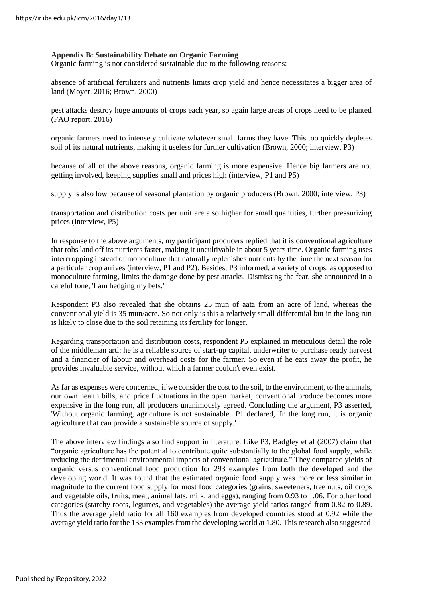#### **Appendix B: Sustainability Debate on Organic Farming**

Organic farming is not considered sustainable due to the following reasons:

absence of artificial fertilizers and nutrients limits crop yield and hence necessitates a bigger area of land (Moyer, 2016; Brown, 2000)

pest attacks destroy huge amounts of crops each year, so again large areas of crops need to be planted (FAO report, 2016)

organic farmers need to intensely cultivate whatever small farms they have. This too quickly depletes soil of its natural nutrients, making it useless for further cultivation (Brown, 2000; interview, P3)

because of all of the above reasons, organic farming is more expensive. Hence big farmers are not getting involved, keeping supplies small and prices high (interview, P1 and P5)

supply is also low because of seasonal plantation by organic producers (Brown, 2000; interview, P3)

transportation and distribution costs per unit are also higher for small quantities, further pressurizing prices (interview, P5)

In response to the above arguments, my participant producers replied that it is conventional agriculture that robs land off its nutrients faster, making it uncultivable in about 5 years time. Organic farming uses intercropping instead of monoculture that naturally replenishes nutrients by the time the next season for a particular crop arrives (interview, P1 and P2). Besides, P3 informed, a variety of crops, as opposed to monoculture farming, limits the damage done by pest attacks. Dismissing the fear, she announced in a careful tone, 'I am hedging my bets.'

Respondent P3 also revealed that she obtains 25 mun of aata from an acre of land, whereas the conventional yield is 35 mun/acre. So not only is this a relatively small differential but in the long run is likely to close due to the soil retaining its fertility for longer.

Regarding transportation and distribution costs, respondent P5 explained in meticulous detail the role of the middleman arti: he is a reliable source of start-up capital, underwriter to purchase ready harvest and a financier of labour and overhead costs for the farmer. So even if he eats away the profit, he provides invaluable service, without which a farmer couldn't even exist.

As far as expenses were concerned, if we consider the cost to the soil, to the environment, to the animals, our own health bills, and price fluctuations in the open market, conventional produce becomes more expensive in the long run, all producers unanimously agreed. Concluding the argument, P3 asserted, 'Without organic farming, agriculture is not sustainable.' P1 declared, 'In the long run, it is organic agriculture that can provide a sustainable source of supply.'

The above interview findings also find support in literature. Like P3, Badgley et al (2007) claim that "organic agriculture has the potential to contribute quite substantially to the global food supply, while reducing the detrimental environmental impacts of conventional agriculture." They compared yields of organic versus conventional food production for 293 examples from both the developed and the developing world. It was found that the estimated organic food supply was more or less similar in magnitude to the current food supply for most food categories (grains, sweeteners, tree nuts, oil crops and vegetable oils, fruits, meat, animal fats, milk, and eggs), ranging from 0.93 to 1.06. For other food categories (starchy roots, legumes, and vegetables) the average yield ratios ranged from 0.82 to 0.89. Thus the average yield ratio for all 160 examples from developed countries stood at 0.92 while the average yield ratio for the 133 examples from the developing world at 1.80. This research also suggested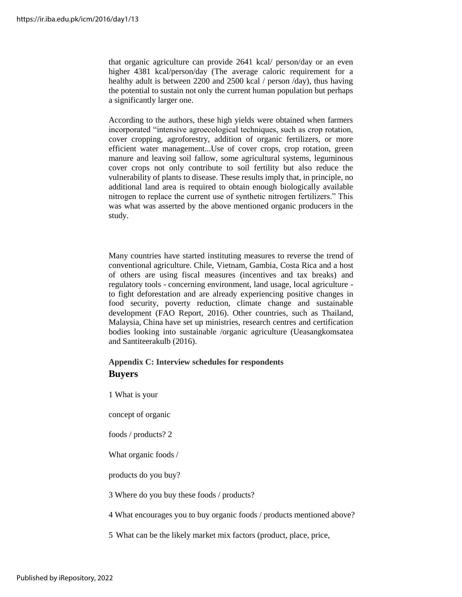that organic agriculture can provide 2641 kcal/ person/day or an even higher 4381 kcal/person/day (The average caloric requirement for a healthy adult is between 2200 and 2500 kcal / person /day), thus having the potential to sustain not only the current human population but perhaps a significantly larger one.

According to the authors, these high yields were obtained when farmers incorporated "intensive agroecological techniques, such as crop rotation, cover cropping, agroforestry, addition of organic fertilizers, or more efficient water management...Use of cover crops, crop rotation, green manure and leaving soil fallow, some agricultural systems, leguminous cover crops not only contribute to soil fertility but also reduce the vulnerability of plants to disease. These results imply that, in principle, no additional land area is required to obtain enough biologically available nitrogen to replace the current use of synthetic nitrogen fertilizers." This was what was asserted by the above mentioned organic producers in the study.

Many countries have started instituting measures to reverse the trend of conventional agriculture. Chile, Vietnam, Gambia, Costa Rica and a host of others are using fiscal measures (incentives and tax breaks) and regulatory tools - concerning environment, land usage, local agriculture to fight deforestation and are already experiencing positive changes in food security, poverty reduction, climate change and sustainable development (FAO Report, 2016). Other countries, such as Thailand, Malaysia, China have set up ministries, research centres and certification bodies looking into sustainable /organic agriculture (Ueasangkomsatea and Santiteerakulb (2016).

# **Appendix C: Interview schedules for respondents Buyers**

1 What is your

concept of organic

foods / products? 2

What organic foods /

products do you buy?

3 Where do you buy these foods / products?

4 What encourages you to buy organic foods / products mentioned above?

5 What can be the likely market mix factors (product, place, price,